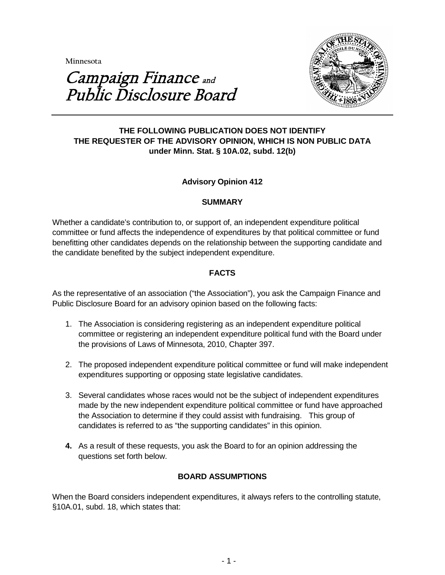**Minnesota** 



# Campaign Finance and Public Disclosure Board

## **THE FOLLOWING PUBLICATION DOES NOT IDENTIFY THE REQUESTER OF THE ADVISORY OPINION, WHICH IS NON PUBLIC DATA under Minn. Stat. § 10A.02, subd. 12(b)**

# **Advisory Opinion 412**

#### **SUMMARY**

Whether a candidate's contribution to, or support of, an independent expenditure political committee or fund affects the independence of expenditures by that political committee or fund benefitting other candidates depends on the relationship between the supporting candidate and the candidate benefited by the subject independent expenditure.

## **FACTS**

As the representative of an association ("the Association"), you ask the Campaign Finance and Public Disclosure Board for an advisory opinion based on the following facts:

- 1. The Association is considering registering as an independent expenditure political committee or registering an independent expenditure political fund with the Board under the provisions of Laws of Minnesota, 2010, Chapter 397.
- 2. The proposed independent expenditure political committee or fund will make independent expenditures supporting or opposing state legislative candidates.
- 3. Several candidates whose races would not be the subject of independent expenditures made by the new independent expenditure political committee or fund have approached the Association to determine if they could assist with fundraising. This group of candidates is referred to as "the supporting candidates" in this opinion.
- **4.** As a result of these requests, you ask the Board to for an opinion addressing the questions set forth below.

## **BOARD ASSUMPTIONS**

When the Board considers independent expenditures, it always refers to the controlling statute, §10A.01, subd. 18, which states that: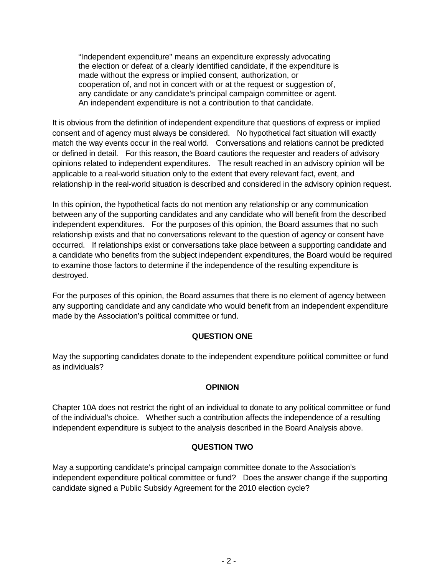"Independent expenditure" means an expenditure expressly advocating the election or defeat of a clearly identified candidate, if the expenditure is made without the express or implied consent, authorization, or cooperation of, and not in concert with or at the request or suggestion of, any candidate or any candidate's principal campaign committee or agent. An independent expenditure is not a contribution to that candidate.

It is obvious from the definition of independent expenditure that questions of express or implied consent and of agency must always be considered. No hypothetical fact situation will exactly match the way events occur in the real world. Conversations and relations cannot be predicted or defined in detail. For this reason, the Board cautions the requester and readers of advisory opinions related to independent expenditures. The result reached in an advisory opinion will be applicable to a real-world situation only to the extent that every relevant fact, event, and relationship in the real-world situation is described and considered in the advisory opinion request.

In this opinion, the hypothetical facts do not mention any relationship or any communication between any of the supporting candidates and any candidate who will benefit from the described independent expenditures. For the purposes of this opinion, the Board assumes that no such relationship exists and that no conversations relevant to the question of agency or consent have occurred. If relationships exist or conversations take place between a supporting candidate and a candidate who benefits from the subject independent expenditures, the Board would be required to examine those factors to determine if the independence of the resulting expenditure is destroyed.

For the purposes of this opinion, the Board assumes that there is no element of agency between any supporting candidate and any candidate who would benefit from an independent expenditure made by the Association's political committee or fund.

## **QUESTION ONE**

May the supporting candidates donate to the independent expenditure political committee or fund as individuals?

## **OPINION**

Chapter 10A does not restrict the right of an individual to donate to any political committee or fund of the individual's choice. Whether such a contribution affects the independence of a resulting independent expenditure is subject to the analysis described in the Board Analysis above.

## **QUESTION TWO**

May a supporting candidate's principal campaign committee donate to the Association's independent expenditure political committee or fund? Does the answer change if the supporting candidate signed a Public Subsidy Agreement for the 2010 election cycle?